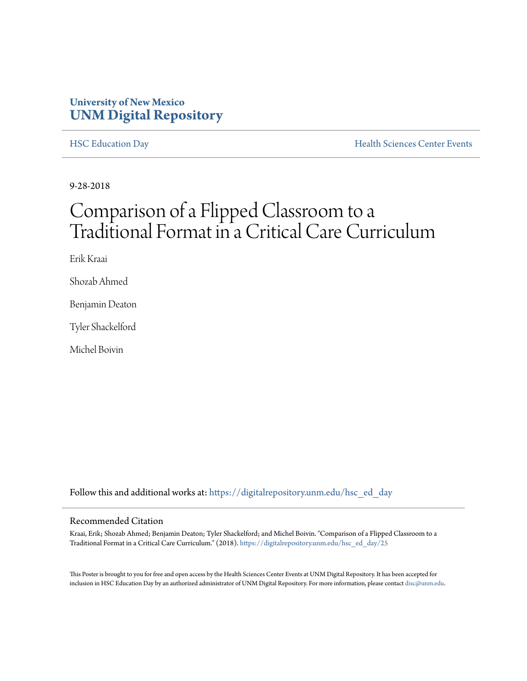## **University of New Mexico [UNM Digital Repository](https://digitalrepository.unm.edu?utm_source=digitalrepository.unm.edu%2Fhsc_ed_day%2F25&utm_medium=PDF&utm_campaign=PDFCoverPages)**

[HSC Education Day](https://digitalrepository.unm.edu/hsc_ed_day?utm_source=digitalrepository.unm.edu%2Fhsc_ed_day%2F25&utm_medium=PDF&utm_campaign=PDFCoverPages) **[Health Sciences Center Events](https://digitalrepository.unm.edu/hsc_events?utm_source=digitalrepository.unm.edu%2Fhsc_ed_day%2F25&utm_medium=PDF&utm_campaign=PDFCoverPages)** 

9-28-2018

## Comparison of a Flipped Classroom to a Traditional Format in a Critical Care Curriculum

Erik Kraai

Shozab Ahmed

Benjamin Deaton

Tyler Shackelford

Michel Boivin

Follow this and additional works at: [https://digitalrepository.unm.edu/hsc\\_ed\\_day](https://digitalrepository.unm.edu/hsc_ed_day?utm_source=digitalrepository.unm.edu%2Fhsc_ed_day%2F25&utm_medium=PDF&utm_campaign=PDFCoverPages)

## Recommended Citation

Kraai, Erik; Shozab Ahmed; Benjamin Deaton; Tyler Shackelford; and Michel Boivin. "Comparison of a Flipped Classroom to a Traditional Format in a Critical Care Curriculum." (2018). [https://digitalrepository.unm.edu/hsc\\_ed\\_day/25](https://digitalrepository.unm.edu/hsc_ed_day/25?utm_source=digitalrepository.unm.edu%2Fhsc_ed_day%2F25&utm_medium=PDF&utm_campaign=PDFCoverPages)

This Poster is brought to you for free and open access by the Health Sciences Center Events at UNM Digital Repository. It has been accepted for inclusion in HSC Education Day by an authorized administrator of UNM Digital Repository. For more information, please contact [disc@unm.edu](mailto:disc@unm.edu).